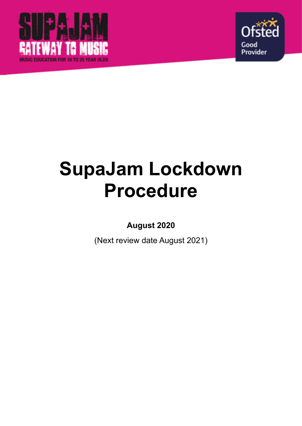



# **SupaJam Lockdown Procedure**

**August 2020** 

(Next review date August 2021)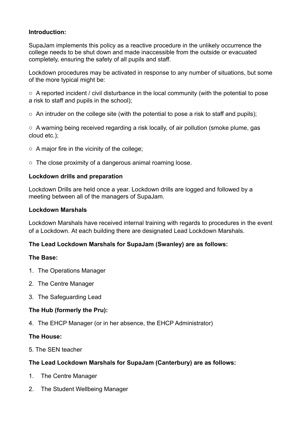## **Introduction:**

SupaJam implements this policy as a reactive procedure in the unlikely occurrence the college needs to be shut down and made inaccessible from the outside or evacuated completely, ensuring the safety of all pupils and staff.

Lockdown procedures may be activated in response to any number of situations, but some of the more typical might be:

o A reported incident / civil disturbance in the local community (with the potential to pose a risk to staff and pupils in the school);

 $\circ$  An intruder on the college site (with the potential to pose a risk to staff and pupils);

o A warning being received regarding a risk locally, of air pollution (smoke plume, gas cloud etc.);

- $\circ$  A major fire in the vicinity of the college;
- o The close proximity of a dangerous animal roaming loose.

## **Lockdown drills and preparation**

Lockdown Drills are held once a year. Lockdown drills are logged and followed by a meeting between all of the managers of SupaJam.

### **Lockdown Marshals**

Lockdown Marshals have received internal training with regards to procedures in the event of a Lockdown. At each building there are designated Lead Lockdown Marshals.

# **The Lead Lockdown Marshals for SupaJam (Swanley) are as follows:**

### **The Base:**

- 1. The Operations Manager
- 2. The Centre Manager
- 3. The Safeguarding Lead

# **The Hub (formerly the Pru):**

4. The EHCP Manager (or in her absence, the EHCP Administrator)

### **The House:**

5. The SEN teacher

# **The Lead Lockdown Marshals for SupaJam (Canterbury) are as follows:**

- 1. The Centre Manager
- 2. The Student Wellbeing Manager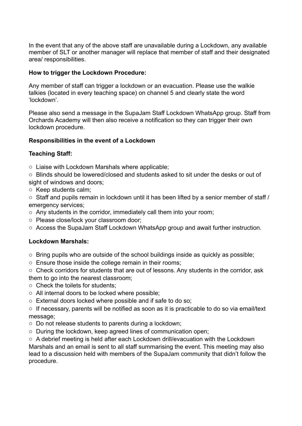In the event that any of the above staff are unavailable during a Lockdown, any available member of SLT or another manager will replace that member of staff and their designated area/ responsibilities.

#### **How to trigger the Lockdown Procedure:**

Any member of staff can trigger a lockdown or an evacuation. Please use the walkie talkies (located in every teaching space) on channel 5 and clearly state the word 'lockdown'.

Please also send a message in the SupaJam Staff Lockdown WhatsApp group. Staff from Orchards Academy will then also receive a notification so they can trigger their own lockdown procedure.

#### **Responsibilities in the event of a Lockdown**

#### **Teaching Staff:**

- o Liaise with Lockdown Marshals where applicable;
- o Blinds should be lowered/closed and students asked to sit under the desks or out of sight of windows and doors;
- o Keep students calm;
- o Staff and pupils remain in lockdown until it has been lifted by a senior member of staff / emergency services;
- o Any students in the corridor, immediately call them into your room;
- o Please close/lock your classroom door;
- o Access the SupaJam Staff Lockdown WhatsApp group and await further instruction.

### **Lockdown Marshals:**

- o Bring pupils who are outside of the school buildings inside as quickly as possible;
- o Ensure those inside the college remain in their rooms;
- o Check corridors for students that are out of lessons. Any students in the corridor, ask them to go into the nearest classroom;
- o Check the toilets for students;
- o All internal doors to be locked where possible;
- o External doors locked where possible and if safe to do so;

o If necessary, parents will be notified as soon as it is practicable to do so via email/text message;

- o Do not release students to parents during a lockdown;
- o During the lockdown, keep agreed lines of communication open;

o A debrief meeting is held after each Lockdown drill/evacuation with the Lockdown Marshals and an email is sent to all staff summarising the event. This meeting may also lead to a discussion held with members of the SupaJam community that didn't follow the procedure.